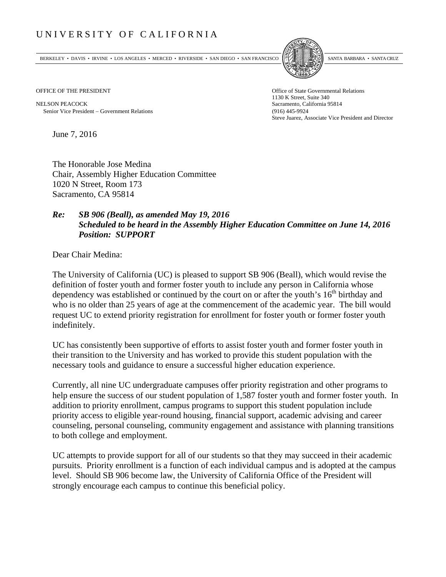## UNIVERSITY OF CALIFORNIA

BERKELEY • DAVIS • IRVINE • LOS ANGELES • MERCED • RIVERSIDE • SAN DIEGO • SAN FRANCISCO SANTA BARBARA • SANTA CRUZ



OFFICE OF THE PRESIDENT STATES OF THE PRESIDENT

NELSON PEACOCK Sacramento, California 95814 Senior Vice President Government Relations (916) 445-9924

1130 K Street, Suite 340 Steve Juarez, Associate Vice President and Director

June 7, 2016

The Honorable Jose Medina Chair, Assembly Higher Education Committee 1020 N Street, Room 173 Sacramento, CA 95814

## *Re: SB 906 (Beall), as amended May 19, 2016 Scheduled to be heard in the Assembly Higher Education Committee on June 14, 2016 Position: SUPPORT*

Dear Chair Medina:

The University of California (UC) is pleased to support SB 906 (Beall), which would revise the definition of foster youth and former foster youth to include any person in California whose dependency was established or continued by the court on or after the youth's  $16<sup>th</sup>$  birthday and who is no older than 25 years of age at the commencement of the academic year. The bill would request UC to extend priority registration for enrollment for foster youth or former foster youth indefinitely.

UC has consistently been supportive of efforts to assist foster youth and former foster youth in their transition to the University and has worked to provide this student population with the necessary tools and guidance to ensure a successful higher education experience.

Currently, all nine UC undergraduate campuses offer priority registration and other programs to help ensure the success of our student population of 1,587 foster youth and former foster youth. In addition to priority enrollment, campus programs to support this student population include priority access to eligible year-round housing, financial support, academic advising and career counseling, personal counseling, community engagement and assistance with planning transitions to both college and employment.

UC attempts to provide support for all of our students so that they may succeed in their academic pursuits. Priority enrollment is a function of each individual campus and is adopted at the campus level. Should SB 906 become law, the University of California Office of the President will strongly encourage each campus to continue this beneficial policy.